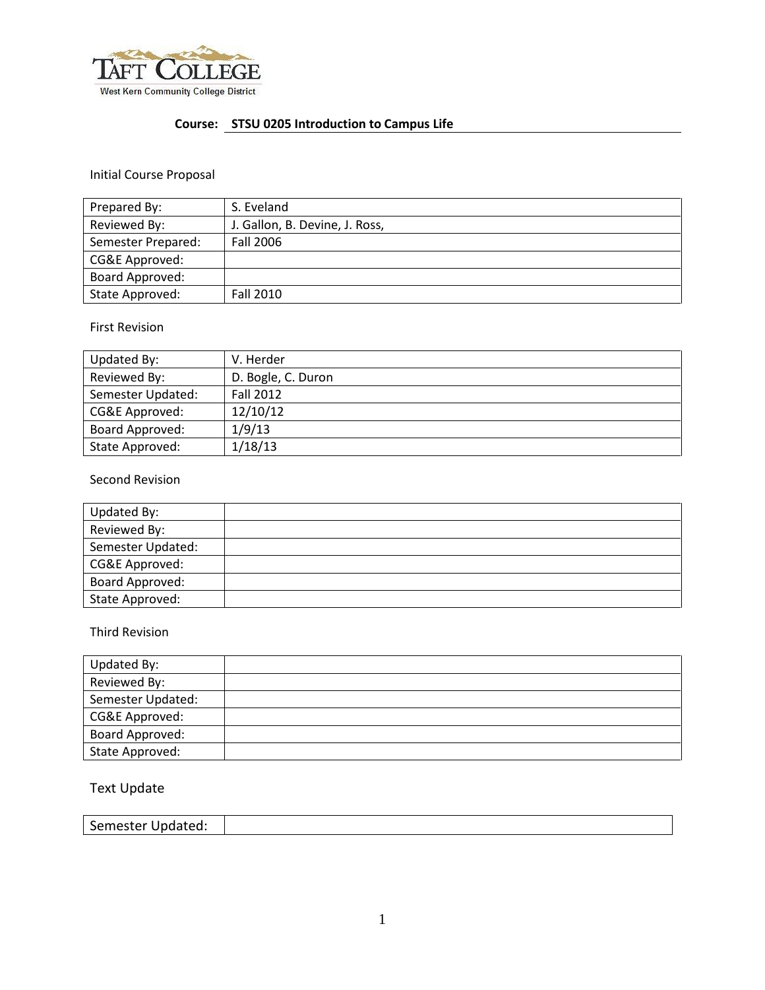

# **Course: STSU 0205 Introduction to Campus Life**

# Initial Course Proposal

| Prepared By:       | S. Eveland                     |
|--------------------|--------------------------------|
| Reviewed By:       | J. Gallon, B. Devine, J. Ross, |
| Semester Prepared: | Fall 2006                      |
| CG&E Approved:     |                                |
| Board Approved:    |                                |
| State Approved:    | Fall 2010                      |

### First Revision

| Updated By:       | V. Herder          |
|-------------------|--------------------|
| Reviewed By:      | D. Bogle, C. Duron |
| Semester Updated: | <b>Fall 2012</b>   |
| CG&E Approved:    | 12/10/12           |
| Board Approved:   | 1/9/13             |
| State Approved:   | 1/18/13            |

### Second Revision

| Updated By:            |  |
|------------------------|--|
| Reviewed By:           |  |
| Semester Updated:      |  |
| CG&E Approved:         |  |
| <b>Board Approved:</b> |  |
| State Approved:        |  |

#### Third Revision

| Updated By:       |  |
|-------------------|--|
| Reviewed By:      |  |
| Semester Updated: |  |
| CG&E Approved:    |  |
| Board Approved:   |  |
| State Approved:   |  |

# Text Update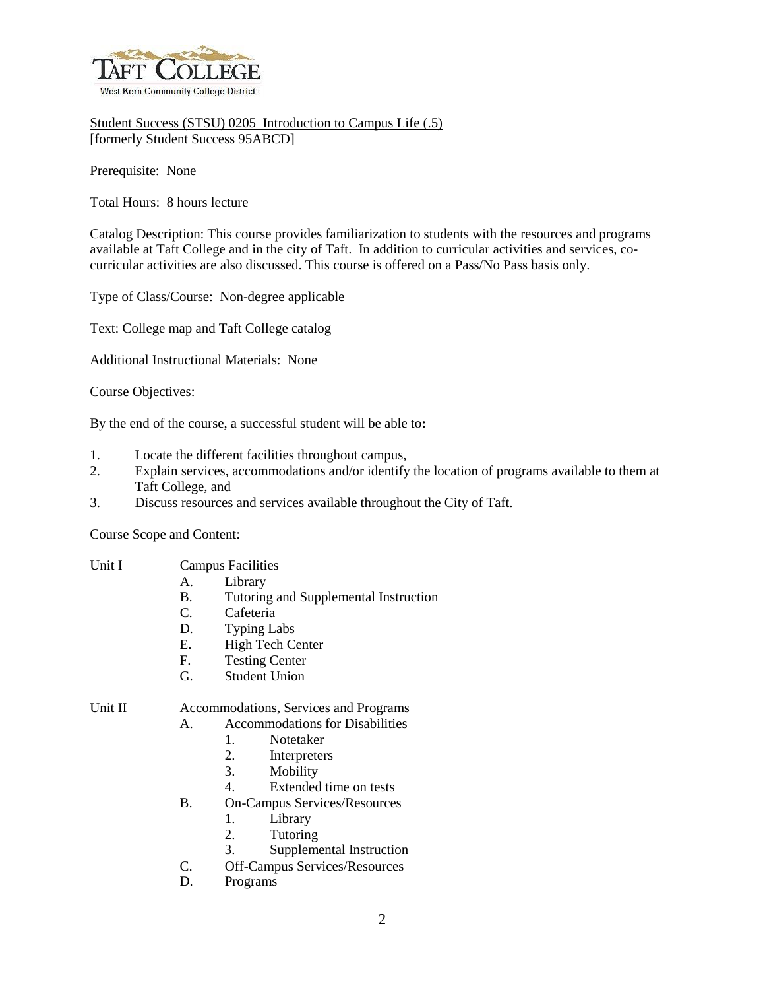

Student Success (STSU) 0205 Introduction to Campus Life (.5) [formerly Student Success 95ABCD]

Prerequisite: None

Total Hours: 8 hours lecture

Catalog Description: This course provides familiarization to students with the resources and programs available at Taft College and in the city of Taft. In addition to curricular activities and services, cocurricular activities are also discussed. This course is offered on a Pass/No Pass basis only.

Type of Class/Course: Non-degree applicable

Text: College map and Taft College catalog

Additional Instructional Materials: None

Course Objectives:

By the end of the course, a successful student will be able to**:**

- 1. Locate the different facilities throughout campus,
- 2. Explain services, accommodations and/or identify the location of programs available to them at Taft College, and
- 3. Discuss resources and services available throughout the City of Taft.

Course Scope and Content:

- Unit I Campus Facilities
	- A. Library
	- B. Tutoring and Supplemental Instruction
	- C. Cafeteria
	- D. Typing Labs
	- E. High Tech Center
	- F. Testing Center
	- G. Student Union

## Unit II Accommodations, Services and Programs

- A. Accommodations for Disabilities
	- 1. Notetaker
	-
	- 2. Interpreters<br>3. Mobility **Mobility**
	- 4. Extended time on tests
- B. On-Campus Services/Resources
	- 1. Library
		- 2. Tutoring
		- 3. Supplemental Instruction
- C. Off-Campus Services/Resources
- D. Programs